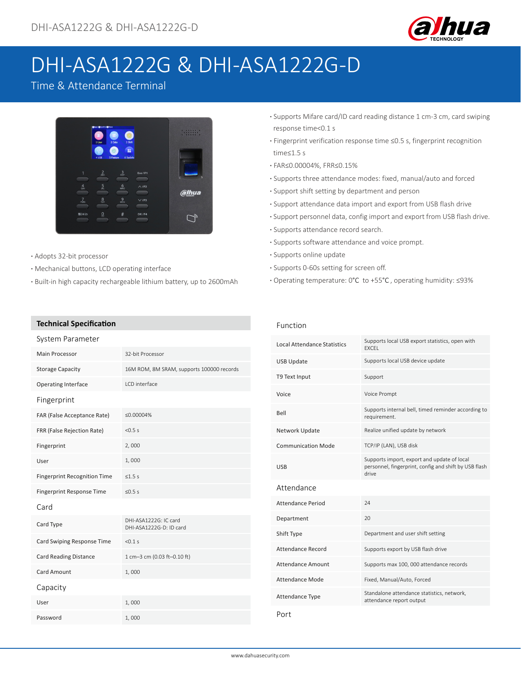

# DHI-ASA1222G & DHI-ASA1222G-D

# Time & Attendance Terminal



- **·** Adopts 32-bit processor
- **·** Mechanical buttons, LCD operating interface
- **·** Built-in high capacity rechargeable lithium battery, up to 2600mAh

#### **Technical Specification**

| System Parameter                    |                                                  |  |
|-------------------------------------|--------------------------------------------------|--|
| Main Processor                      | 32-bit Processor                                 |  |
| <b>Storage Capacity</b>             | 16M ROM, 8M SRAM, supports 100000 records        |  |
| <b>Operating Interface</b>          | LCD interface                                    |  |
| Fingerprint                         |                                                  |  |
| FAR (False Acceptance Rate)         | ≤0.00004%                                        |  |
| FRR (False Rejection Rate)          | < 0.5 s                                          |  |
| Fingerprint                         | 2,000                                            |  |
| User                                | 1,000                                            |  |
| <b>Fingerprint Recognition Time</b> | $\leq 1.5$ s                                     |  |
| <b>Fingerprint Response Time</b>    | 5.5s                                             |  |
| Card                                |                                                  |  |
| Card Type                           | DHI-ASA1222G: IC card<br>DHI-ASA1222G-D: ID card |  |
| Card Swiping Response Time          | < 0.1 s                                          |  |
| <b>Card Reading Distance</b>        | 1 cm-3 cm (0.03 ft-0.10 ft)                      |  |
| <b>Card Amount</b>                  | 1,000                                            |  |
| Capacity                            |                                                  |  |
| User                                | 1,000                                            |  |
| Password                            | 1,000                                            |  |

- **·** Supports Mifare card/ID card reading distance 1 cm-3 cm, card swiping response time<0.1 s
- **·** Fingerprint verification response time ≤0.5 s, fingerprint recognition time≤1.5 s
- **·** FAR≤0.00004%, FRR≤0.15%
- **·** Supports three attendance modes: fixed, manual/auto and forced
- **·** Support shift setting by department and person
- **·** Support attendance data import and export from USB flash drive
- **·** Support personnel data, config import and export from USB flash drive.
- **·** Supports attendance record search.
- **·** Supports software attendance and voice prompt.
- **·** Supports online update
- **·** Supports 0-60s setting for screen off.
- **·** Operating temperature: 0°C to +55°C , operating humidity: ≤93%

#### Function

| <b>Local Attendance Statistics</b> | Supports local USB export statistics, open with<br><b>FXCEL</b>                                               |
|------------------------------------|---------------------------------------------------------------------------------------------------------------|
| <b>USB Update</b>                  | Supports local USB device update                                                                              |
| T9 Text Input                      | Support                                                                                                       |
| Voice                              | Voice Prompt                                                                                                  |
| Bell                               | Supports internal bell, timed reminder according to<br>requirement.                                           |
| Network Update                     | Realize unified update by network                                                                             |
| <b>Communication Mode</b>          | TCP/IP (LAN), USB disk                                                                                        |
| USB                                | Supports import, export and update of local<br>personnel, fingerprint, config and shift by USB flash<br>drive |
| Attendance                         |                                                                                                               |
| Attendance Period                  | 74                                                                                                            |
| Department                         | 20                                                                                                            |
| Shift Type                         | Department and user shift setting                                                                             |
| Attendance Record                  | Supports export by USB flash drive                                                                            |
| Attendance Amount                  | Supports max 100, 000 attendance records                                                                      |
| <b>Attendance Mode</b>             | Fixed, Manual/Auto, Forced                                                                                    |
| Attendance Type                    | Standalone attendance statistics, network,<br>attendance report output                                        |
| Port                               |                                                                                                               |